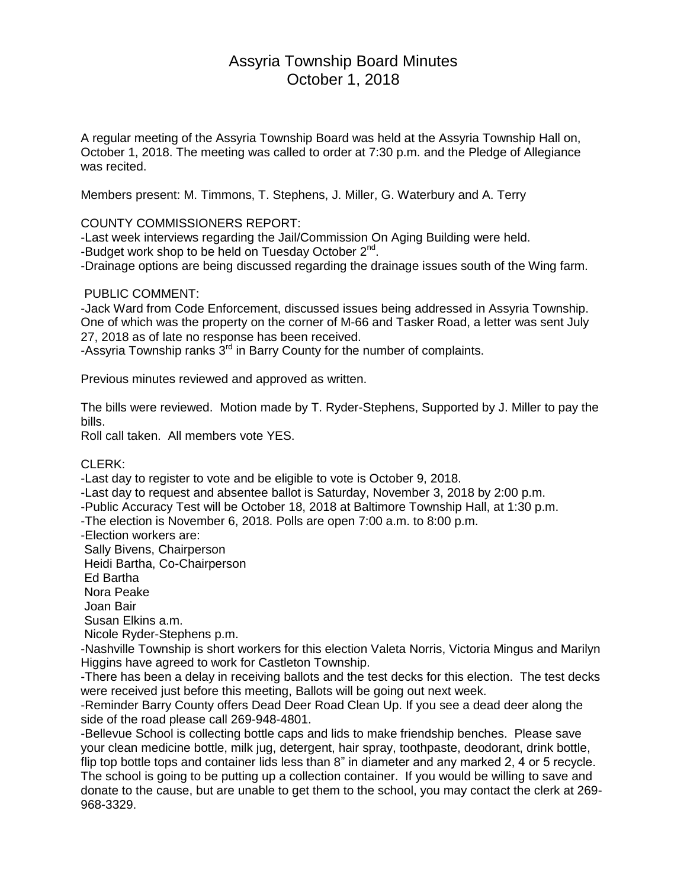# Assyria Township Board Minutes October 1, 2018

A regular meeting of the Assyria Township Board was held at the Assyria Township Hall on, October 1, 2018. The meeting was called to order at 7:30 p.m. and the Pledge of Allegiance was recited.

Members present: M. Timmons, T. Stephens, J. Miller, G. Waterbury and A. Terry

COUNTY COMMISSIONERS REPORT:

-Last week interviews regarding the Jail/Commission On Aging Building were held. -Budget work shop to be held on Tuesday October 2<sup>nd</sup>.

-Drainage options are being discussed regarding the drainage issues south of the Wing farm.

#### PUBLIC COMMENT:

-Jack Ward from Code Enforcement, discussed issues being addressed in Assyria Township. One of which was the property on the corner of M-66 and Tasker Road, a letter was sent July 27, 2018 as of late no response has been received.

-Assyria Township ranks  $3<sup>rd</sup>$  in Barry County for the number of complaints.

Previous minutes reviewed and approved as written.

The bills were reviewed. Motion made by T. Ryder-Stephens, Supported by J. Miller to pay the bills.

Roll call taken. All members vote YES.

## CLERK:

-Last day to register to vote and be eligible to vote is October 9, 2018.

-Last day to request and absentee ballot is Saturday, November 3, 2018 by 2:00 p.m.

-Public Accuracy Test will be October 18, 2018 at Baltimore Township Hall, at 1:30 p.m.

-The election is November 6, 2018. Polls are open 7:00 a.m. to 8:00 p.m.

-Election workers are:

Sally Bivens, Chairperson

Heidi Bartha, Co-Chairperson

Ed Bartha

Nora Peake

Joan Bair

Susan Elkins a.m.

Nicole Ryder-Stephens p.m.

-Nashville Township is short workers for this election Valeta Norris, Victoria Mingus and Marilyn Higgins have agreed to work for Castleton Township.

-There has been a delay in receiving ballots and the test decks for this election. The test decks were received just before this meeting, Ballots will be going out next week.

-Reminder Barry County offers Dead Deer Road Clean Up. If you see a dead deer along the side of the road please call 269-948-4801.

-Bellevue School is collecting bottle caps and lids to make friendship benches. Please save your clean medicine bottle, milk jug, detergent, hair spray, toothpaste, deodorant, drink bottle, flip top bottle tops and container lids less than 8" in diameter and any marked 2, 4 or 5 recycle. The school is going to be putting up a collection container. If you would be willing to save and donate to the cause, but are unable to get them to the school, you may contact the clerk at 269- 968-3329.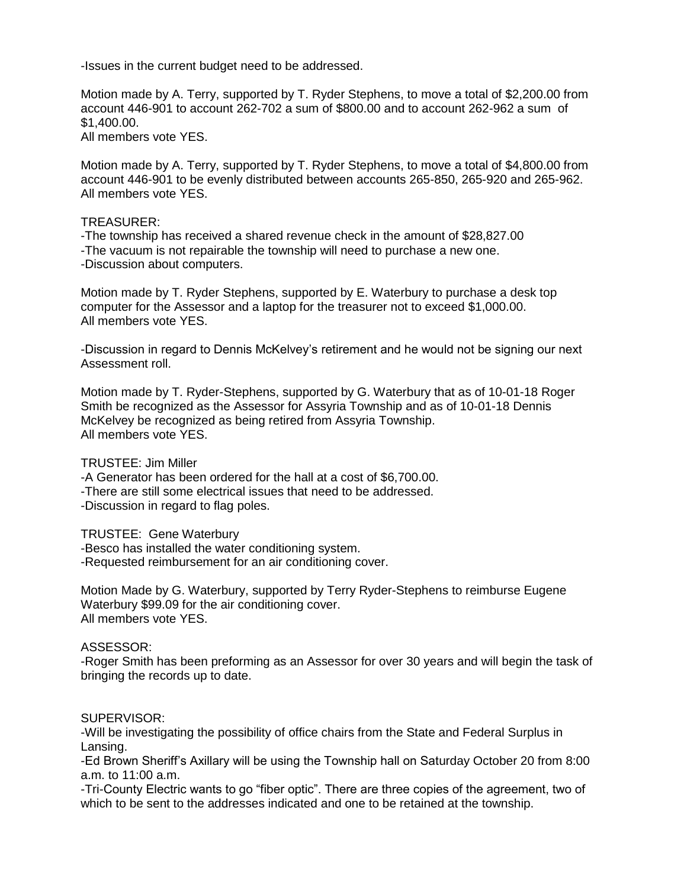-Issues in the current budget need to be addressed.

Motion made by A. Terry, supported by T. Ryder Stephens, to move a total of \$2,200.00 from account 446-901 to account 262-702 a sum of \$800.00 and to account 262-962 a sum of \$1,400.00.

All members vote YES.

Motion made by A. Terry, supported by T. Ryder Stephens, to move a total of \$4,800.00 from account 446-901 to be evenly distributed between accounts 265-850, 265-920 and 265-962. All members vote YES.

### TREASURER:

-The township has received a shared revenue check in the amount of \$28,827.00 -The vacuum is not repairable the township will need to purchase a new one. -Discussion about computers.

Motion made by T. Ryder Stephens, supported by E. Waterbury to purchase a desk top computer for the Assessor and a laptop for the treasurer not to exceed \$1,000.00. All members vote YES.

-Discussion in regard to Dennis McKelvey's retirement and he would not be signing our next Assessment roll.

Motion made by T. Ryder-Stephens, supported by G. Waterbury that as of 10-01-18 Roger Smith be recognized as the Assessor for Assyria Township and as of 10-01-18 Dennis McKelvey be recognized as being retired from Assyria Township. All members vote YES.

# TRUSTEE: Jim Miller

-A Generator has been ordered for the hall at a cost of \$6,700.00. -There are still some electrical issues that need to be addressed. -Discussion in regard to flag poles.

TRUSTEE: Gene Waterbury

-Besco has installed the water conditioning system. -Requested reimbursement for an air conditioning cover.

Motion Made by G. Waterbury, supported by Terry Ryder-Stephens to reimburse Eugene Waterbury \$99.09 for the air conditioning cover. All members vote YES.

#### ASSESSOR:

-Roger Smith has been preforming as an Assessor for over 30 years and will begin the task of bringing the records up to date.

#### SUPERVISOR:

-Will be investigating the possibility of office chairs from the State and Federal Surplus in Lansing.

-Ed Brown Sheriff's Axillary will be using the Township hall on Saturday October 20 from 8:00 a.m. to 11:00 a.m.

-Tri-County Electric wants to go "fiber optic". There are three copies of the agreement, two of which to be sent to the addresses indicated and one to be retained at the township.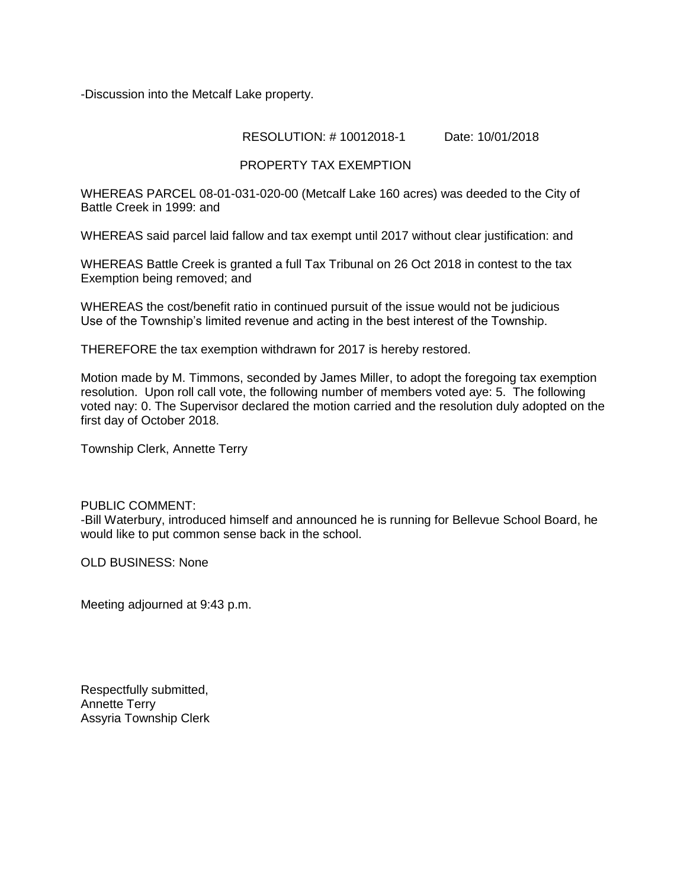-Discussion into the Metcalf Lake property.

## RESOLUTION: # 10012018-1 Date: 10/01/2018

# PROPERTY TAX EXEMPTION

WHEREAS PARCEL 08-01-031-020-00 (Metcalf Lake 160 acres) was deeded to the City of Battle Creek in 1999: and

WHEREAS said parcel laid fallow and tax exempt until 2017 without clear justification: and

WHEREAS Battle Creek is granted a full Tax Tribunal on 26 Oct 2018 in contest to the tax Exemption being removed; and

WHEREAS the cost/benefit ratio in continued pursuit of the issue would not be judicious Use of the Township's limited revenue and acting in the best interest of the Township.

THEREFORE the tax exemption withdrawn for 2017 is hereby restored.

Motion made by M. Timmons, seconded by James Miller, to adopt the foregoing tax exemption resolution. Upon roll call vote, the following number of members voted aye: 5. The following voted nay: 0. The Supervisor declared the motion carried and the resolution duly adopted on the first day of October 2018.

Township Clerk, Annette Terry

#### PUBLIC COMMENT:

-Bill Waterbury, introduced himself and announced he is running for Bellevue School Board, he would like to put common sense back in the school.

OLD BUSINESS: None

Meeting adjourned at 9:43 p.m.

Respectfully submitted, Annette Terry Assyria Township Clerk